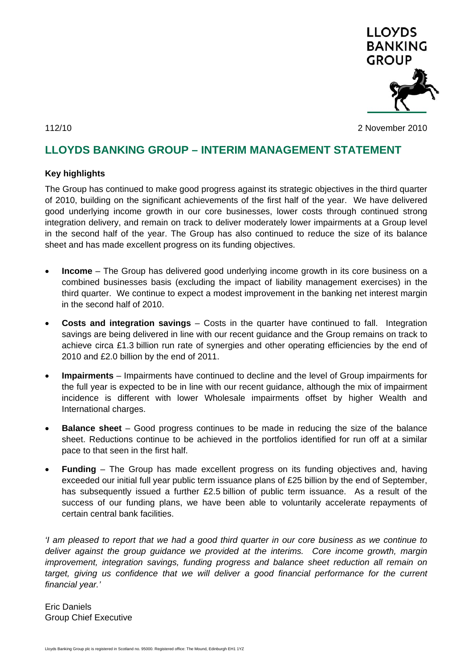

112/10 2 November 2010

# **LLOYDS BANKING GROUP – INTERIM MANAGEMENT STATEMENT**

# **Key highlights**

The Group has continued to make good progress against its strategic objectives in the third quarter of 2010, building on the significant achievements of the first half of the year. We have delivered good underlying income growth in our core businesses, lower costs through continued strong integration delivery, and remain on track to deliver moderately lower impairments at a Group level in the second half of the year. The Group has also continued to reduce the size of its balance sheet and has made excellent progress on its funding objectives.

- **Income** The Group has delivered good underlying income growth in its core business on a combined businesses basis (excluding the impact of liability management exercises) in the third quarter. We continue to expect a modest improvement in the banking net interest margin in the second half of 2010.
- **Costs and integration savings** Costs in the quarter have continued to fall. Integration savings are being delivered in line with our recent guidance and the Group remains on track to achieve circa £1.3 billion run rate of synergies and other operating efficiencies by the end of 2010 and £2.0 billion by the end of 2011.
- **Impairments** Impairments have continued to decline and the level of Group impairments for the full year is expected to be in line with our recent guidance, although the mix of impairment incidence is different with lower Wholesale impairments offset by higher Wealth and International charges.
- **Balance sheet** Good progress continues to be made in reducing the size of the balance sheet. Reductions continue to be achieved in the portfolios identified for run off at a similar pace to that seen in the first half.
- **Funding** The Group has made excellent progress on its funding objectives and, having exceeded our initial full year public term issuance plans of £25 billion by the end of September, has subsequently issued a further £2.5 billion of public term issuance. As a result of the success of our funding plans, we have been able to voluntarily accelerate repayments of certain central bank facilities.

*'I am pleased to report that we had a good third quarter in our core business as we continue to deliver against the group guidance we provided at the interims. Core income growth, margin improvement, integration savings, funding progress and balance sheet reduction all remain on*  target, giving us confidence that we will deliver a good financial performance for the current *financial year.'* 

Eric Daniels Group Chief Executive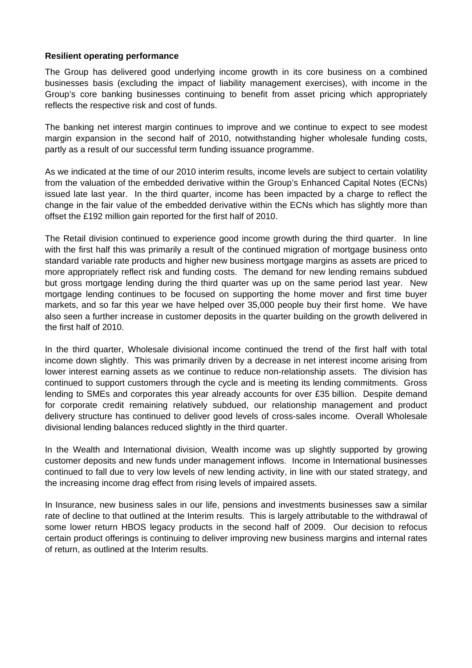## **Resilient operating performance**

The Group has delivered good underlying income growth in its core business on a combined businesses basis (excluding the impact of liability management exercises), with income in the Group's core banking businesses continuing to benefit from asset pricing which appropriately reflects the respective risk and cost of funds.

The banking net interest margin continues to improve and we continue to expect to see modest margin expansion in the second half of 2010, notwithstanding higher wholesale funding costs, partly as a result of our successful term funding issuance programme.

As we indicated at the time of our 2010 interim results, income levels are subject to certain volatility from the valuation of the embedded derivative within the Group's Enhanced Capital Notes (ECNs) issued late last year. In the third quarter, income has been impacted by a charge to reflect the change in the fair value of the embedded derivative within the ECNs which has slightly more than offset the £192 million gain reported for the first half of 2010.

The Retail division continued to experience good income growth during the third quarter. In line with the first half this was primarily a result of the continued migration of mortgage business onto standard variable rate products and higher new business mortgage margins as assets are priced to more appropriately reflect risk and funding costs. The demand for new lending remains subdued but gross mortgage lending during the third quarter was up on the same period last year. New mortgage lending continues to be focused on supporting the home mover and first time buyer markets, and so far this year we have helped over 35,000 people buy their first home. We have also seen a further increase in customer deposits in the quarter building on the growth delivered in the first half of 2010.

In the third quarter, Wholesale divisional income continued the trend of the first half with total income down slightly. This was primarily driven by a decrease in net interest income arising from lower interest earning assets as we continue to reduce non-relationship assets. The division has continued to support customers through the cycle and is meeting its lending commitments. Gross lending to SMEs and corporates this year already accounts for over £35 billion. Despite demand for corporate credit remaining relatively subdued, our relationship management and product delivery structure has continued to deliver good levels of cross-sales income. Overall Wholesale divisional lending balances reduced slightly in the third quarter.

In the Wealth and International division, Wealth income was up slightly supported by growing customer deposits and new funds under management inflows. Income in International businesses continued to fall due to very low levels of new lending activity, in line with our stated strategy, and the increasing income drag effect from rising levels of impaired assets.

In Insurance, new business sales in our life, pensions and investments businesses saw a similar rate of decline to that outlined at the Interim results. This is largely attributable to the withdrawal of some lower return HBOS legacy products in the second half of 2009. Our decision to refocus certain product offerings is continuing to deliver improving new business margins and internal rates of return, as outlined at the Interim results.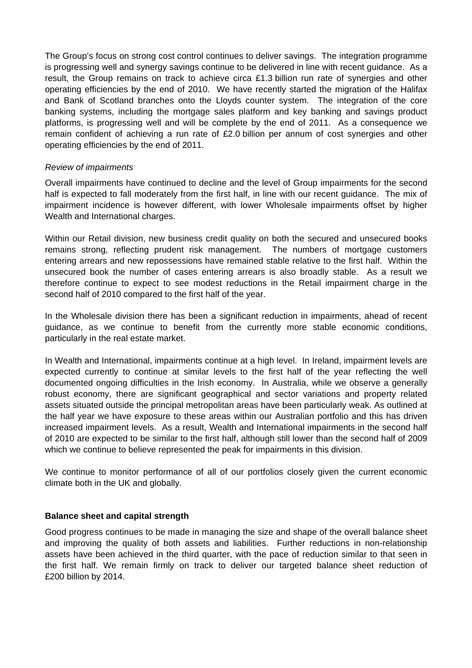The Group's focus on strong cost control continues to deliver savings. The integration programme is progressing well and synergy savings continue to be delivered in line with recent guidance. As a result, the Group remains on track to achieve circa £1.3 billion run rate of synergies and other operating efficiencies by the end of 2010. We have recently started the migration of the Halifax and Bank of Scotland branches onto the Lloyds counter system. The integration of the core banking systems, including the mortgage sales platform and key banking and savings product platforms, is progressing well and will be complete by the end of 2011. As a consequence we remain confident of achieving a run rate of £2.0 billion per annum of cost synergies and other operating efficiencies by the end of 2011.

### *Review of impairments*

Overall impairments have continued to decline and the level of Group impairments for the second half is expected to fall moderately from the first half, in line with our recent guidance. The mix of impairment incidence is however different, with lower Wholesale impairments offset by higher Wealth and International charges.

Within our Retail division, new business credit quality on both the secured and unsecured books remains strong, reflecting prudent risk management. The numbers of mortgage customers entering arrears and new repossessions have remained stable relative to the first half. Within the unsecured book the number of cases entering arrears is also broadly stable. As a result we therefore continue to expect to see modest reductions in the Retail impairment charge in the second half of 2010 compared to the first half of the year.

In the Wholesale division there has been a significant reduction in impairments, ahead of recent guidance, as we continue to benefit from the currently more stable economic conditions, particularly in the real estate market.

In Wealth and International, impairments continue at a high level. In Ireland, impairment levels are expected currently to continue at similar levels to the first half of the year reflecting the well documented ongoing difficulties in the Irish economy. In Australia, while we observe a generally robust economy, there are significant geographical and sector variations and property related assets situated outside the principal metropolitan areas have been particularly weak. As outlined at the half year we have exposure to these areas within our Australian portfolio and this has driven increased impairment levels. As a result, Wealth and International impairments in the second half of 2010 are expected to be similar to the first half, although still lower than the second half of 2009 which we continue to believe represented the peak for impairments in this division.

We continue to monitor performance of all of our portfolios closely given the current economic climate both in the UK and globally.

#### **Balance sheet and capital strength**

Good progress continues to be made in managing the size and shape of the overall balance sheet and improving the quality of both assets and liabilities. Further reductions in non-relationship assets have been achieved in the third quarter, with the pace of reduction similar to that seen in the first half. We remain firmly on track to deliver our targeted balance sheet reduction of £200 billion by 2014.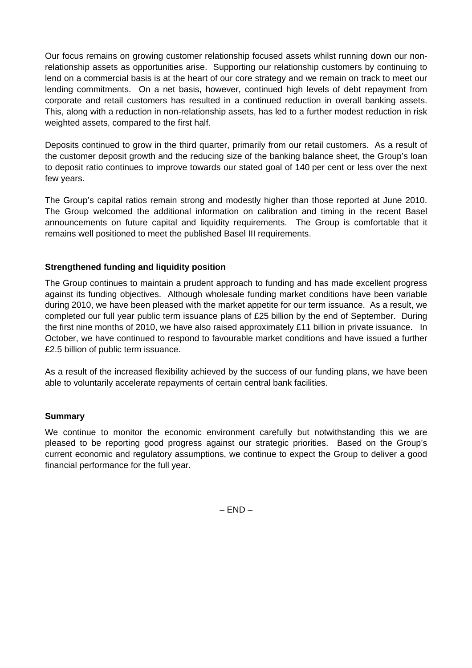Our focus remains on growing customer relationship focused assets whilst running down our nonrelationship assets as opportunities arise. Supporting our relationship customers by continuing to lend on a commercial basis is at the heart of our core strategy and we remain on track to meet our lending commitments. On a net basis, however, continued high levels of debt repayment from corporate and retail customers has resulted in a continued reduction in overall banking assets. This, along with a reduction in non-relationship assets, has led to a further modest reduction in risk weighted assets, compared to the first half.

Deposits continued to grow in the third quarter, primarily from our retail customers. As a result of the customer deposit growth and the reducing size of the banking balance sheet, the Group's loan to deposit ratio continues to improve towards our stated goal of 140 per cent or less over the next few years.

The Group's capital ratios remain strong and modestly higher than those reported at June 2010. The Group welcomed the additional information on calibration and timing in the recent Basel announcements on future capital and liquidity requirements. The Group is comfortable that it remains well positioned to meet the published Basel III requirements.

# **Strengthened funding and liquidity position**

The Group continues to maintain a prudent approach to funding and has made excellent progress against its funding objectives. Although wholesale funding market conditions have been variable during 2010, we have been pleased with the market appetite for our term issuance. As a result, we completed our full year public term issuance plans of £25 billion by the end of September. During the first nine months of 2010, we have also raised approximately £11 billion in private issuance. In October, we have continued to respond to favourable market conditions and have issued a further £2.5 billion of public term issuance.

As a result of the increased flexibility achieved by the success of our funding plans, we have been able to voluntarily accelerate repayments of certain central bank facilities.

## **Summary**

We continue to monitor the economic environment carefully but notwithstanding this we are pleased to be reporting good progress against our strategic priorities. Based on the Group's current economic and regulatory assumptions, we continue to expect the Group to deliver a good financial performance for the full year.

 $-$  FND  $-$